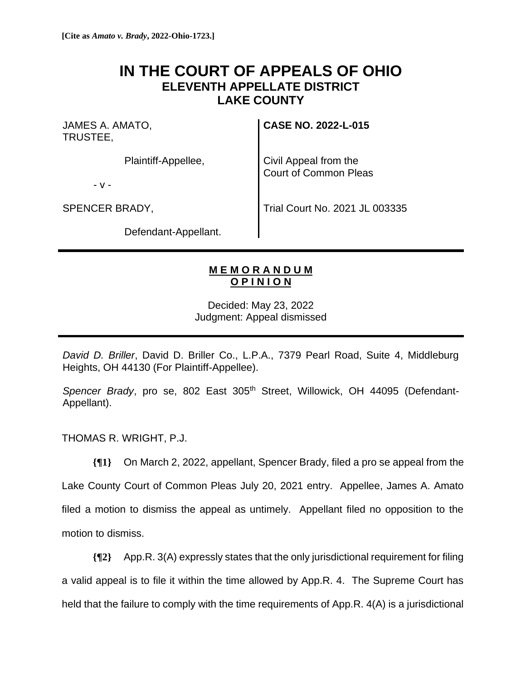## **IN THE COURT OF APPEALS OF OHIO ELEVENTH APPELLATE DISTRICT LAKE COUNTY**

JAMES A. AMATO, TRUSTEE,

Plaintiff-Appellee,

- v -

SPENCER BRADY,

**CASE NO. 2022-L-015**

Civil Appeal from the Court of Common Pleas

Trial Court No. 2021 JL 003335

Defendant-Appellant.

## **M E M O R A N D U M O P I N I O N**

Decided: May 23, 2022 Judgment: Appeal dismissed

*David D. Briller*, David D. Briller Co., L.P.A., 7379 Pearl Road, Suite 4, Middleburg Heights, OH 44130 (For Plaintiff-Appellee).

Spencer Brady, pro se, 802 East 305<sup>th</sup> Street, Willowick, OH 44095 (Defendant-Appellant).

THOMAS R. WRIGHT, P.J.

**{¶1}** On March 2, 2022, appellant, Spencer Brady, filed a pro se appeal from the

Lake County Court of Common Pleas July 20, 2021 entry. Appellee, James A. Amato filed a motion to dismiss the appeal as untimely. Appellant filed no opposition to the motion to dismiss.

**{¶2}** App.R. 3(A) expressly states that the only jurisdictional requirement for filing

a valid appeal is to file it within the time allowed by App.R. 4. The Supreme Court has

held that the failure to comply with the time requirements of App.R. 4(A) is a jurisdictional